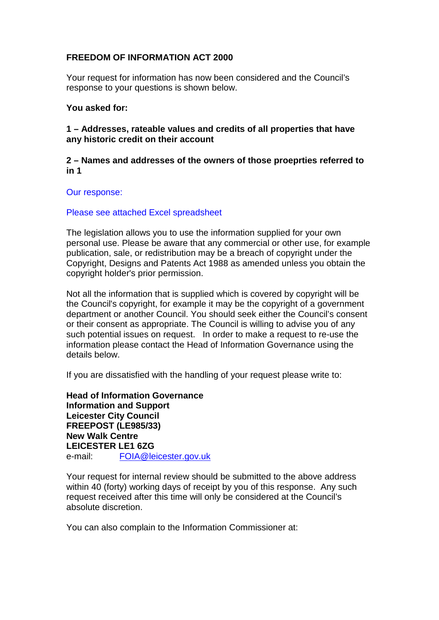# **FREEDOM OF INFORMATION ACT 2000**

Your request for information has now been considered and the Council's response to your questions is shown below.

## **You asked for:**

## **1 – Addresses, rateable values and credits of all properties that have any historic credit on their account**

## **2 – Names and addresses of the owners of those proeprties referred to in 1**

#### Our response:

#### Please see attached Excel spreadsheet

The legislation allows you to use the information supplied for your own personal use. Please be aware that any commercial or other use, for example publication, sale, or redistribution may be a breach of copyright under the Copyright, Designs and Patents Act 1988 as amended unless you obtain the copyright holder's prior permission.

Not all the information that is supplied which is covered by copyright will be the Council's copyright, for example it may be the copyright of a government department or another Council. You should seek either the Council's consent or their consent as appropriate. The Council is willing to advise you of any such potential issues on request. In order to make a request to re-use the information please contact the Head of Information Governance using the details below.

If you are dissatisfied with the handling of your request please write to:

**Head of Information Governance Information and Support Leicester City Council FREEPOST (LE985/33) New Walk Centre LEICESTER LE1 6ZG**  e-mail: FOIA@leicester.gov.uk

Your request for internal review should be submitted to the above address within 40 (forty) working days of receipt by you of this response. Any such request received after this time will only be considered at the Council's absolute discretion.

You can also complain to the Information Commissioner at: